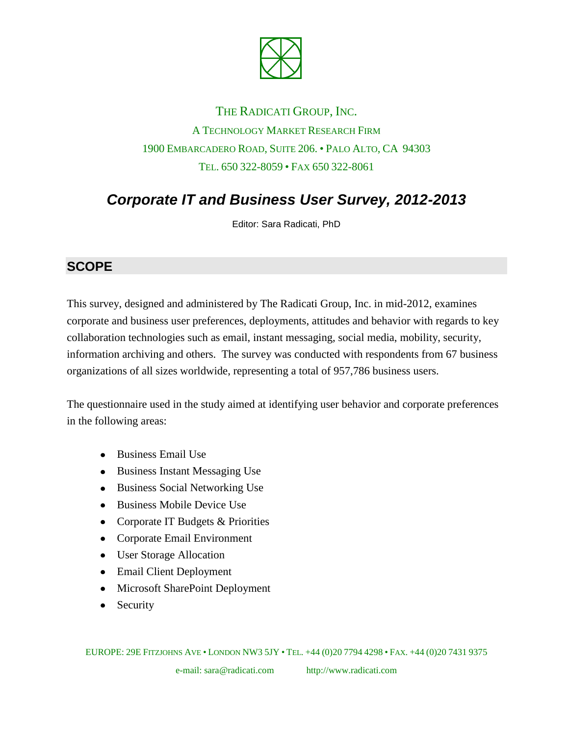

## THE RADICATI GROUP, INC. A TECHNOLOGY MARKET RESEARCH FIRM 1900 EMBARCADERO ROAD, SUITE 206. • PALO ALTO, CA 94303 TEL. 650 322-8059 • FAX 650 322-8061

# *Corporate IT and Business User Survey, 2012-2013*

Editor: Sara Radicati, PhD

#### **SCOPE**

This survey, designed and administered by The Radicati Group, Inc. in mid-2012, examines corporate and business user preferences, deployments, attitudes and behavior with regards to key collaboration technologies such as email, instant messaging, social media, mobility, security, information archiving and others. The survey was conducted with respondents from 67 business organizations of all sizes worldwide, representing a total of 957,786 business users.

The questionnaire used in the study aimed at identifying user behavior and corporate preferences in the following areas:

- Business Email Use
- Business Instant Messaging Use
- Business Social Networking Use
- Business Mobile Device Use
- Corporate IT Budgets & Priorities
- Corporate Email Environment
- User Storage Allocation
- Email Client Deployment
- Microsoft SharePoint Deployment
- Security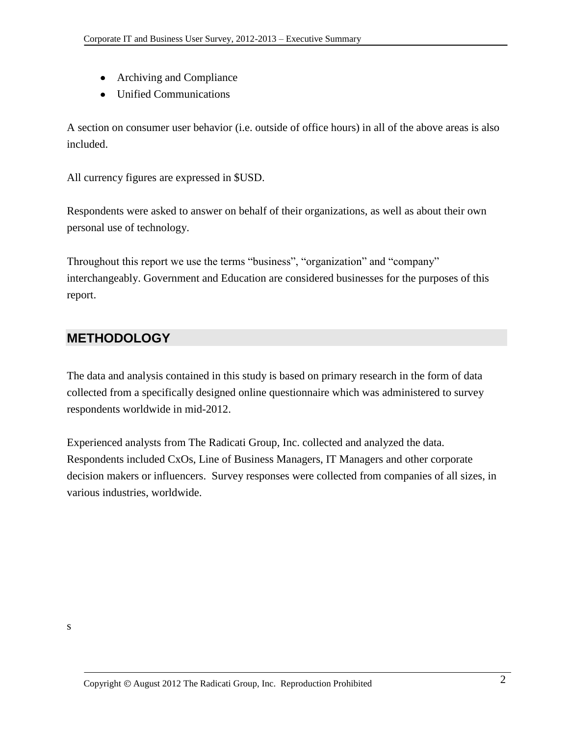- Archiving and Compliance
- Unified Communications

A section on consumer user behavior (i.e. outside of office hours) in all of the above areas is also included.

All currency figures are expressed in \$USD.

Respondents were asked to answer on behalf of their organizations, as well as about their own personal use of technology.

Throughout this report we use the terms "business", "organization" and "company" interchangeably. Government and Education are considered businesses for the purposes of this report.

#### **METHODOLOGY**

The data and analysis contained in this study is based on primary research in the form of data collected from a specifically designed online questionnaire which was administered to survey respondents worldwide in mid-2012.

Experienced analysts from The Radicati Group, Inc. collected and analyzed the data. Respondents included CxOs, Line of Business Managers, IT Managers and other corporate decision makers or influencers. Survey responses were collected from companies of all sizes, in various industries, worldwide.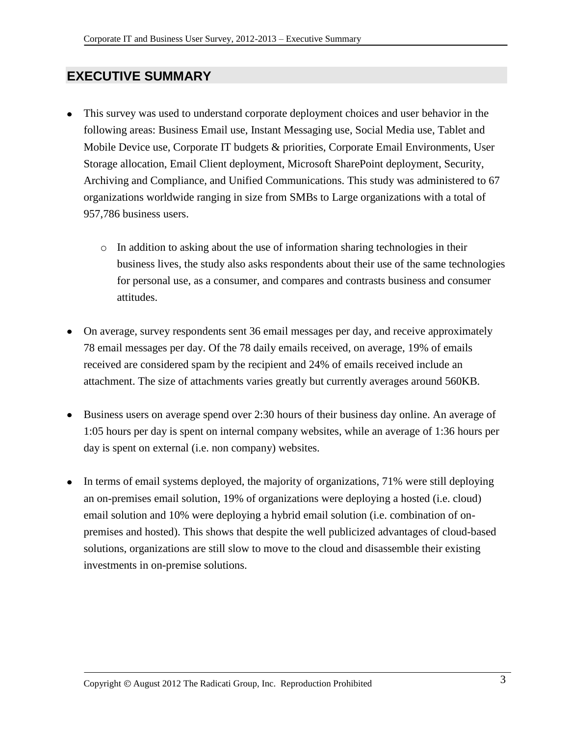### **EXECUTIVE SUMMARY**

- This survey was used to understand corporate deployment choices and user behavior in the following areas: Business Email use, Instant Messaging use, Social Media use, Tablet and Mobile Device use, Corporate IT budgets & priorities, Corporate Email Environments, User Storage allocation, Email Client deployment, Microsoft SharePoint deployment, Security, Archiving and Compliance, and Unified Communications. This study was administered to 67 organizations worldwide ranging in size from SMBs to Large organizations with a total of 957,786 business users.
	- $\circ$  In addition to asking about the use of information sharing technologies in their business lives, the study also asks respondents about their use of the same technologies for personal use, as a consumer, and compares and contrasts business and consumer attitudes.
- On average, survey respondents sent 36 email messages per day, and receive approximately 78 email messages per day. Of the 78 daily emails received, on average, 19% of emails received are considered spam by the recipient and 24% of emails received include an attachment. The size of attachments varies greatly but currently averages around 560KB.
- Business users on average spend over 2:30 hours of their business day online. An average of 1:05 hours per day is spent on internal company websites, while an average of 1:36 hours per day is spent on external (i.e. non company) websites.
- In terms of email systems deployed, the majority of organizations, 71% were still deploying an on-premises email solution, 19% of organizations were deploying a hosted (i.e. cloud) email solution and 10% were deploying a hybrid email solution (i.e. combination of onpremises and hosted). This shows that despite the well publicized advantages of cloud-based solutions, organizations are still slow to move to the cloud and disassemble their existing investments in on-premise solutions.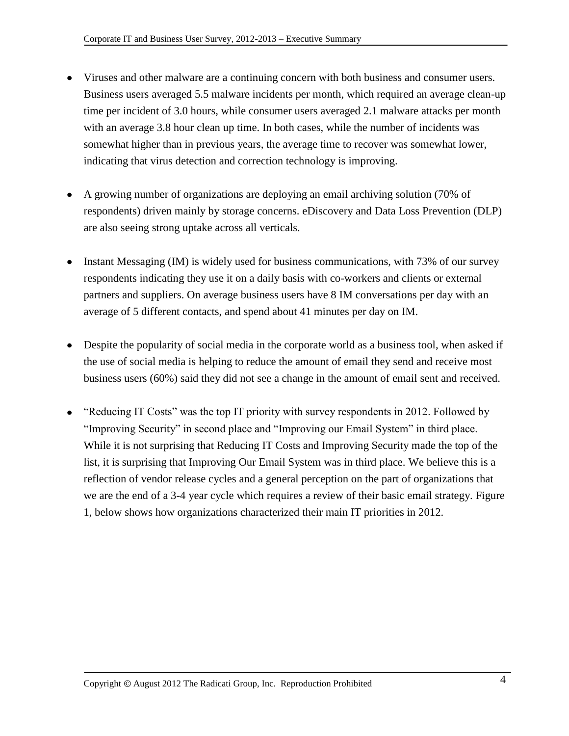- Viruses and other malware are a continuing concern with both business and consumer users. Business users averaged 5.5 malware incidents per month, which required an average clean-up time per incident of 3.0 hours, while consumer users averaged 2.1 malware attacks per month with an average 3.8 hour clean up time. In both cases, while the number of incidents was somewhat higher than in previous years, the average time to recover was somewhat lower, indicating that virus detection and correction technology is improving.
- A growing number of organizations are deploying an email archiving solution (70% of respondents) driven mainly by storage concerns. eDiscovery and Data Loss Prevention (DLP) are also seeing strong uptake across all verticals.
- Instant Messaging (IM) is widely used for business communications, with 73% of our survey respondents indicating they use it on a daily basis with co-workers and clients or external partners and suppliers. On average business users have 8 IM conversations per day with an average of 5 different contacts, and spend about 41 minutes per day on IM.
- Despite the popularity of social media in the corporate world as a business tool, when asked if the use of social media is helping to reduce the amount of email they send and receive most business users (60%) said they did not see a change in the amount of email sent and received.
- "Reducing IT Costs" was the top IT priority with survey respondents in 2012. Followed by "Improving Security" in second place and "Improving our Email System" in third place. While it is not surprising that Reducing IT Costs and Improving Security made the top of the list, it is surprising that Improving Our Email System was in third place. We believe this is a reflection of vendor release cycles and a general perception on the part of organizations that we are the end of a 3-4 year cycle which requires a review of their basic email strategy. Figure 1, below shows how organizations characterized their main IT priorities in 2012.